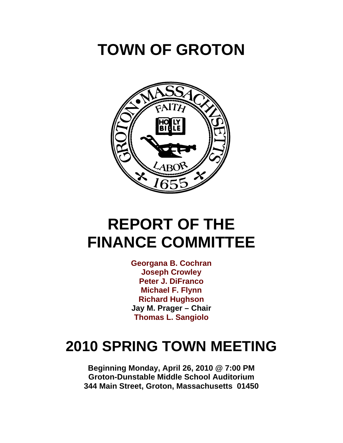# **TOWN OF GROTON**



# **REPORT OF THE FINANCE COMMITTEE**

**Georgana B. Cochran Joseph Crowley Peter J. DiFranco Michael F. Flynn Richard Hughson Jay M. Prager – Chair Thomas L. Sangiolo**

# **2010 SPRING TOWN MEETING**

**Beginning Monday, April 26, 2010 @ 7:00 PM Groton-Dunstable Middle School Auditorium 344 Main Street, Groton, Massachusetts 01450**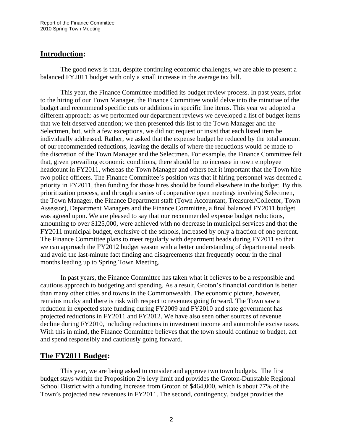### **Introduction:**

 The good news is that, despite continuing economic challenges, we are able to present a balanced FY2011 budget with only a small increase in the average tax bill.

This year, the Finance Committee modified its budget review process. In past years, prior to the hiring of our Town Manager, the Finance Committee would delve into the minutiae of the budget and recommend specific cuts or additions in specific line items. This year we adopted a different approach: as we performed our department reviews we developed a list of budget items that we felt deserved attention; we then presented this list to the Town Manager and the Selectmen, but, with a few exceptions, we did not request or insist that each listed item be individually addressed. Rather, we asked that the expense budget be reduced by the total amount of our recommended reductions, leaving the details of where the reductions would be made to the discretion of the Town Manager and the Selectmen. For example, the Finance Committee felt that, given prevailing economic conditions, there should be no increase in town employee headcount in FY2011, whereas the Town Manager and others felt it important that the Town hire two police officers. The Finance Committee's position was that if hiring personnel was deemed a priority in FY2011, then funding for those hires should be found elsewhere in the budget. By this prioritization process, and through a series of cooperative open meetings involving Selectmen, the Town Manager, the Finance Department staff (Town Accountant, Treasurer/Collector, Town Assessor), Department Managers and the Finance Committee, a final balanced FY2011 budget was agreed upon. We are pleased to say that our recommended expense budget reductions, amounting to over \$125,000, were achieved with no decrease in municipal services and that the FY2011 municipal budget, exclusive of the schools, increased by only a fraction of one percent. The Finance Committee plans to meet regularly with department heads during FY2011 so that we can approach the FY2012 budget season with a better understanding of departmental needs and avoid the last-minute fact finding and disagreements that frequently occur in the final months leading up to Spring Town Meeting.

 In past years, the Finance Committee has taken what it believes to be a responsible and cautious approach to budgeting and spending. As a result, Groton's financial condition is better than many other cities and towns in the Commonwealth. The economic picture, however, remains murky and there is risk with respect to revenues going forward. The Town saw a reduction in expected state funding during FY2009 and FY2010 and state government has projected reductions in FY2011 and FY2012. We have also seen other sources of revenue decline during FY2010, including reductions in investment income and automobile excise taxes. With this in mind, the Finance Committee believes that the town should continue to budget, act and spend responsibly and cautiously going forward.

### **The FY2011 Budget:**

This year, we are being asked to consider and approve two town budgets. The first budget stays within the Proposition 2½ levy limit and provides the Groton-Dunstable Regional School District with a funding increase from Groton of \$464,000, which is about 77% of the Town's projected new revenues in FY2011. The second, contingency, budget provides the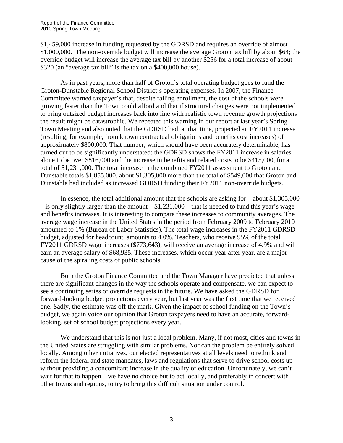\$1,459,000 increase in funding requested by the GDRSD and requires an override of almost \$1,000,000. The non-override budget will increase the average Groton tax bill by about \$64; the override budget will increase the average tax bill by another \$256 for a total increase of about \$320 (an "average tax bill" is the tax on a \$400,000 house).

As in past years, more than half of Groton's total operating budget goes to fund the Groton-Dunstable Regional School District's operating expenses. In 2007, the Finance Committee warned taxpayer's that, despite falling enrollment, the cost of the schools were growing faster than the Town could afford and that if structural changes were not implemented to bring outsized budget increases back into line with realistic town revenue growth projections the result might be catastrophic. We repeated this warning in our report at last year's Spring Town Meeting and also noted that the GDRSD had, at that time, projected an FY2011 increase (resulting, for example, from known contractual obligations and benefits cost increases) of approximately \$800,000. That number, which should have been accurately determinable, has turned out to be significantly understated: the GDRSD shows the FY2011 increase in salaries alone to be over \$816,000 and the increase in benefits and related costs to be \$415,000, for a total of \$1,231,000. The total increase in the combined FY2011 assessment to Groton and Dunstable totals \$1,855,000, about \$1,305,000 more than the total of \$549,000 that Groton and Dunstable had included as increased GDRSD funding their FY2011 non-override budgets.

In essence, the total additional amount that the schools are asking for – about \$1,305,000 – is only slightly larger than the amount – \$1,231,000 – that is needed to fund this year's wage and benefits increases. It is interesting to compare these increases to community averages. The average wage increase in the United States in the period from February 2009 to February 2010 amounted to 1% (Bureau of Labor Statistics). The total wage increases in the FY2011 GDRSD budget, adjusted for headcount, amounts to 4.0%. Teachers, who receive 95% of the total FY2011 GDRSD wage increases (\$773,643), will receive an average increase of 4.9% and will earn an average salary of \$68,935. These increases, which occur year after year, are a major cause of the spiraling costs of public schools.

Both the Groton Finance Committee and the Town Manager have predicted that unless there are significant changes in the way the schools operate and compensate, we can expect to see a continuing series of override requests in the future. We have asked the GDRSD for forward-looking budget projections every year, but last year was the first time that we received one. Sadly, the estimate was off the mark. Given the impact of school funding on the Town's budget, we again voice our opinion that Groton taxpayers need to have an accurate, forwardlooking, set of school budget projections every year.

We understand that this is not just a local problem. Many, if not most, cities and towns in the United States are struggling with similar problems. Nor can the problem be entirely solved locally. Among other initiatives, our elected representatives at all levels need to rethink and reform the federal and state mandates, laws and regulations that serve to drive school costs up without providing a concomitant increase in the quality of education. Unfortunately, we can't wait for that to happen – we have no choice but to act locally, and preferably in concert with other towns and regions, to try to bring this difficult situation under control.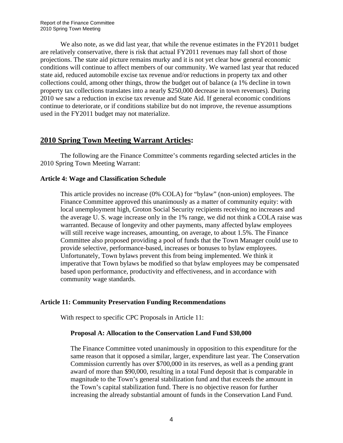We also note, as we did last year, that while the revenue estimates in the FY2011 budget are relatively conservative, there is risk that actual FY2011 revenues may fall short of those projections. The state aid picture remains murky and it is not yet clear how general economic conditions will continue to affect members of our community. We warned last year that reduced state aid, reduced automobile excise tax revenue and/or reductions in property tax and other collections could, among other things, throw the budget out of balance (a 1% decline in town property tax collections translates into a nearly \$250,000 decrease in town revenues). During 2010 we saw a reduction in excise tax revenue and State Aid. If general economic conditions continue to deteriorate, or if conditions stabilize but do not improve, the revenue assumptions used in the FY2011 budget may not materialize.

# **2010 Spring Town Meeting Warrant Articles:**

The following are the Finance Committee's comments regarding selected articles in the 2010 Spring Town Meeting Warrant:

#### **Article 4: Wage and Classification Schedule**

This article provides no increase (0% COLA) for "bylaw" (non-union) employees. The Finance Committee approved this unanimously as a matter of community equity: with local unemployment high, Groton Social Security recipients receiving no increases and the average U. S. wage increase only in the 1% range, we did not think a COLA raise was warranted. Because of longevity and other payments, many affected bylaw employees will still receive wage increases, amounting, on average, to about 1.5%. The Finance Committee also proposed providing a pool of funds that the Town Manager could use to provide selective, performance-based, increases or bonuses to bylaw employees. Unfortunately, Town bylaws prevent this from being implemented. We think it imperative that Town bylaws be modified so that bylaw employees may be compensated based upon performance, productivity and effectiveness, and in accordance with community wage standards.

#### **Article 11: Community Preservation Funding Recommendations**

With respect to specific CPC Proposals in Article 11:

#### **Proposal A: Allocation to the Conservation Land Fund \$30,000**

The Finance Committee voted unanimously in opposition to this expenditure for the same reason that it opposed a similar, larger, expenditure last year. The Conservation Commission currently has over \$700,000 in its reserves, as well as a pending grant award of more than \$90,000, resulting in a total Fund deposit that is comparable in magnitude to the Town's general stabilization fund and that exceeds the amount in the Town's capital stabilization fund. There is no objective reason for further increasing the already substantial amount of funds in the Conservation Land Fund.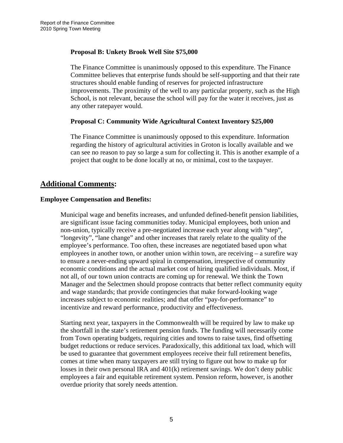#### **Proposal B: Unkety Brook Well Site \$75,000**

The Finance Committee is unanimously opposed to this expenditure. The Finance Committee believes that enterprise funds should be self-supporting and that their rate structures should enable funding of reserves for projected infrastructure improvements. The proximity of the well to any particular property, such as the High School, is not relevant, because the school will pay for the water it receives, just as any other ratepayer would.

#### **Proposal C: Community Wide Agricultural Context Inventory \$25,000**

The Finance Committee is unanimously opposed to this expenditure. Information regarding the history of agricultural activities in Groton is locally available and we can see no reason to pay so large a sum for collecting it. This is another example of a project that ought to be done locally at no, or minimal, cost to the taxpayer.

# **Additional Comments:**

#### **Employee Compensation and Benefits:**

Municipal wage and benefits increases, and unfunded defined-benefit pension liabilities, are significant issue facing communities today. Municipal employees, both union and non-union, typically receive a pre-negotiated increase each year along with "step", "longevity", "lane change" and other increases that rarely relate to the quality of the employee's performance. Too often, these increases are negotiated based upon what employees in another town, or another union within town, are receiving  $-$  a surefire way to ensure a never-ending upward spiral in compensation, irrespective of community economic conditions and the actual market cost of hiring qualified individuals. Most, if not all, of our town union contracts are coming up for renewal. We think the Town Manager and the Selectmen should propose contracts that better reflect community equity and wage standards; that provide contingencies that make forward-looking wage increases subject to economic realities; and that offer "pay-for-performance" to incentivize and reward performance, productivity and effectiveness.

Starting next year, taxpayers in the Commonwealth will be required by law to make up the shortfall in the state's retirement pension funds. The funding will necessarily come from Town operating budgets, requiring cities and towns to raise taxes, find offsetting budget reductions or reduce services. Paradoxically, this additional tax load, which will be used to guarantee that government employees receive their full retirement benefits, comes at time when many taxpayers are still trying to figure out how to make up for losses in their own personal IRA and 401(k) retirement savings. We don't deny public employees a fair and equitable retirement system. Pension reform, however, is another overdue priority that sorely needs attention.